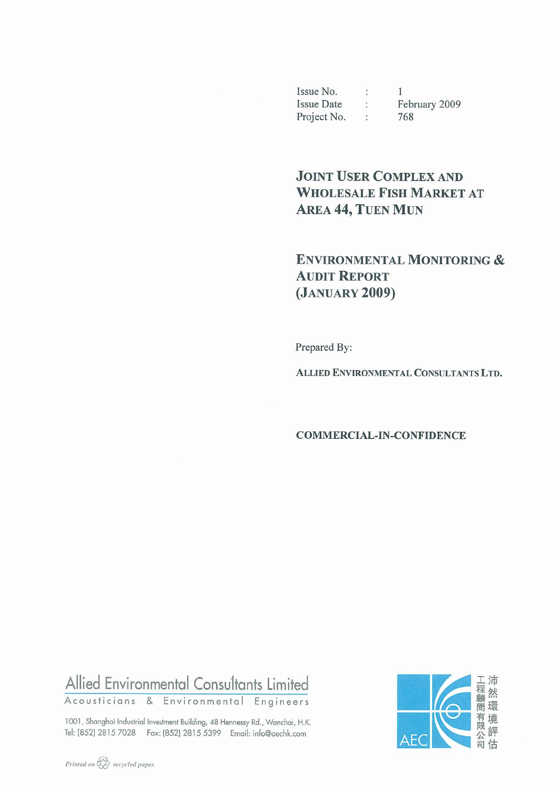Issue No. :  $\overline{1}$ Issue Date : February 2009<br>Project No : 768 Project No. : 768

# **JOINT USER COMPLEX AND WHOLESALE FISH MARKET AT AREA 44, TUEN MUN**

## **ENVIRONMENTAL MONITORING & AUDIT REPORT** (JANUARY 2009)

Prepared By:

ALLIED ENVIRONMENTAL CONSULTANTS LTD.

**COMMERCIAL-IN-CONFIDENCE** 

# Allied Environmental Consultants Limited

Acousticians & Environmental Engineers

1001, Shanghai Industrial Investment Building, 48 Hennessy Rd., Wanchai, H.K. Tel: (852) 2815 7028 Fax: (852) 2815 5399 Email: info@aechk.com

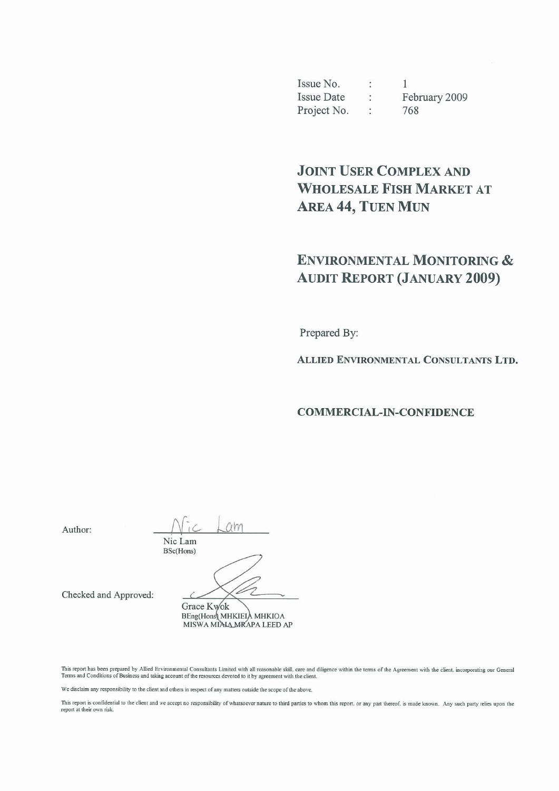Issue No.  $\mathcal{L}$  $\mathbf{1}$ **Issue Date** February 2009  $\mathcal{O}(\mathcal{O}_\mathcal{O})$ Project No. 768  $\mathcal{L}_{\mathcal{L}}$ 

# **JOINT USER COMPLEX AND WHOLESALE FISH MARKET AT AREA 44, TUEN MUN**

# **ENVIRONMENTAL MONITORING & AUDIT REPORT (JANUARY 2009)**

Prepared By:

ALLIED ENVIRONMENTAL CONSULTANTS LTD.

**COMMERCIAL-IN-CONFIDENCE** 

Author:

 $C$ Nic Lam BSc(Hons)

Checked and Approved:

Grace Kwok BEng(Hons) MHKIEIA MHKIOA MISWA MIAJA MRAPA LEED AP

This report has been prepared by Allied Environmental Consultants Limited with all reasonable skill, care and diligence within the terms of the Agreement with the client, incorporating our General Terms and Conditions of B

We disclaim any responsibility to the client and others in respect of any matters outside the scope of the above.

This report is confidential to the client and we accept no responsibility of whatsoever nature to third parties to whom this report, or any part thereof, is made known. Any such party relies upon the report at their own ri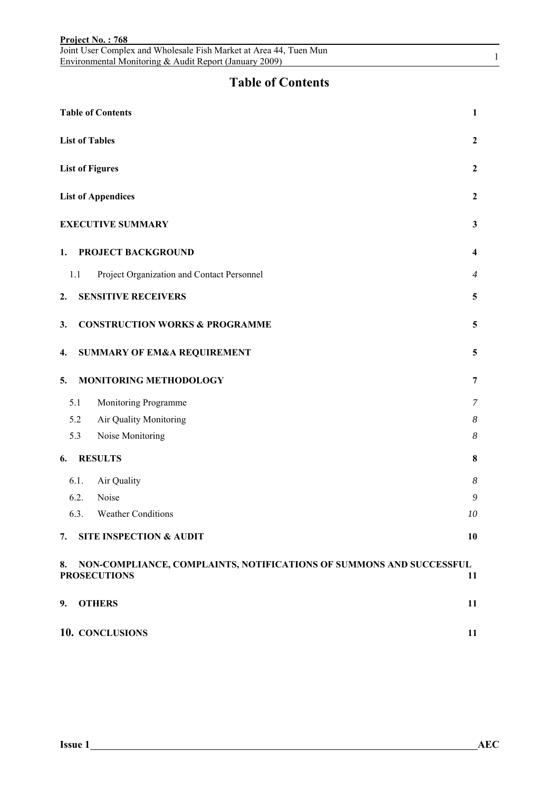|    |      | Joint User Complex and Wholesale Fish Market at Area 44, Tuen Mun<br>Environmental Monitoring & Audit Report (January 2009) | $\mathbf{1}$   |
|----|------|-----------------------------------------------------------------------------------------------------------------------------|----------------|
|    |      | <b>Table of Contents</b>                                                                                                    |                |
|    |      | <b>Table of Contents</b>                                                                                                    | $\mathbf{1}$   |
|    |      | <b>List of Tables</b>                                                                                                       | $\mathbf{2}$   |
|    |      | <b>List of Figures</b>                                                                                                      | $\mathbf{2}$   |
|    |      | <b>List of Appendices</b>                                                                                                   | $\mathbf{2}$   |
|    |      | <b>EXECUTIVE SUMMARY</b>                                                                                                    | $\mathbf{3}$   |
| 1. |      | PROJECT BACKGROUND                                                                                                          | 4              |
|    | 1.1  | Project Organization and Contact Personnel                                                                                  | $\overline{4}$ |
| 2. |      | <b>SENSITIVE RECEIVERS</b>                                                                                                  | 5              |
| 3. |      | <b>CONSTRUCTION WORKS &amp; PROGRAMME</b>                                                                                   | 5              |
| 4. |      | <b>SUMMARY OF EM&amp;A REQUIREMENT</b>                                                                                      | 5              |
| 5. |      | MONITORING METHODOLOGY                                                                                                      | 7              |
|    | 5.1  | Monitoring Programme                                                                                                        | 7              |
|    | 5.2  | Air Quality Monitoring                                                                                                      | 8              |
|    | 5.3  | Noise Monitoring                                                                                                            | 8              |
| 6. |      | <b>RESULTS</b>                                                                                                              | 8              |
|    | 6.1. | Air Quality                                                                                                                 | 8              |
|    | 6.2. | Noise                                                                                                                       | 9              |
|    | 6.3. | <b>Weather Conditions</b>                                                                                                   | 10             |
| 7. |      | <b>SITE INSPECTION &amp; AUDIT</b>                                                                                          | 10             |
| 8. |      | NON-COMPLIANCE, COMPLAINTS, NOTIFICATIONS OF SUMMONS AND SUCCESSFUL<br><b>PROSECUTIONS</b>                                  | 11             |
| 9. |      | <b>OTHERS</b>                                                                                                               | 11             |
|    |      | 10. CONCLUSIONS                                                                                                             | 11             |

**Project No. : 768**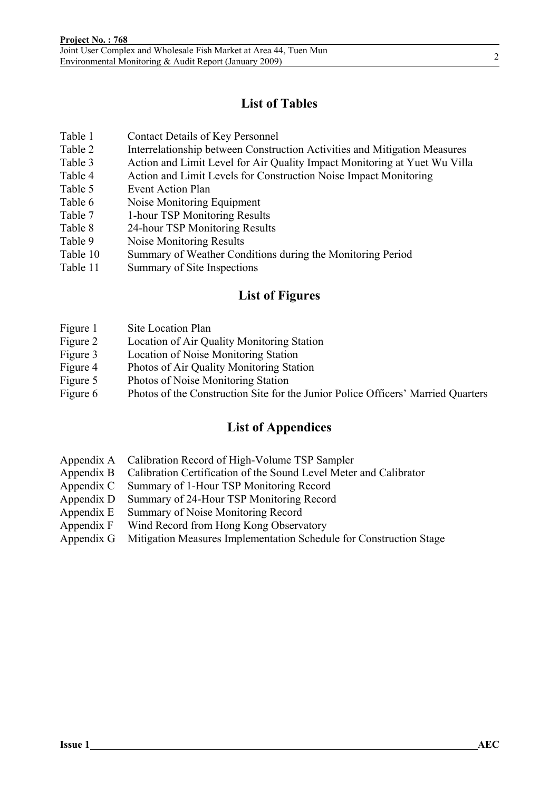### **List of Tables**

- Table 1 Contact Details of Key Personnel
- Table 2 Interrelationship between Construction Activities and Mitigation Measures
- Table 3 Action and Limit Level for Air Quality Impact Monitoring at Yuet Wu Villa
- Table 4 Action and Limit Levels for Construction Noise Impact Monitoring
- Table 5 Event Action Plan
- Table 6 Noise Monitoring Equipment
- Table 7 1-hour TSP Monitoring Results
- Table 8 24-hour TSP Monitoring Results
- Table 9 Noise Monitoring Results
- Table 10 Summary of Weather Conditions during the Monitoring Period
- Table 11 Summary of Site Inspections

#### **List of Figures**

- Figure 1 Site Location Plan
- Figure 2 Location of Air Quality Monitoring Station
- Figure 3 Location of Noise Monitoring Station
- Figure 4 Photos of Air Quality Monitoring Station
- Figure 5 Photos of Noise Monitoring Station
- Figure 6 Photos of the Construction Site for the Junior Police Officers' Married Quarters

#### **List of Appendices**

- Appendix A Calibration Record of High-Volume TSP Sampler
- Appendix B Calibration Certification of the Sound Level Meter and Calibrator
- Appendix C Summary of 1-Hour TSP Monitoring Record
- Appendix D Summary of 24-Hour TSP Monitoring Record
- Appendix E Summary of Noise Monitoring Record
- Appendix F Wind Record from Hong Kong Observatory
- Appendix G Mitigation Measures Implementation Schedule for Construction Stage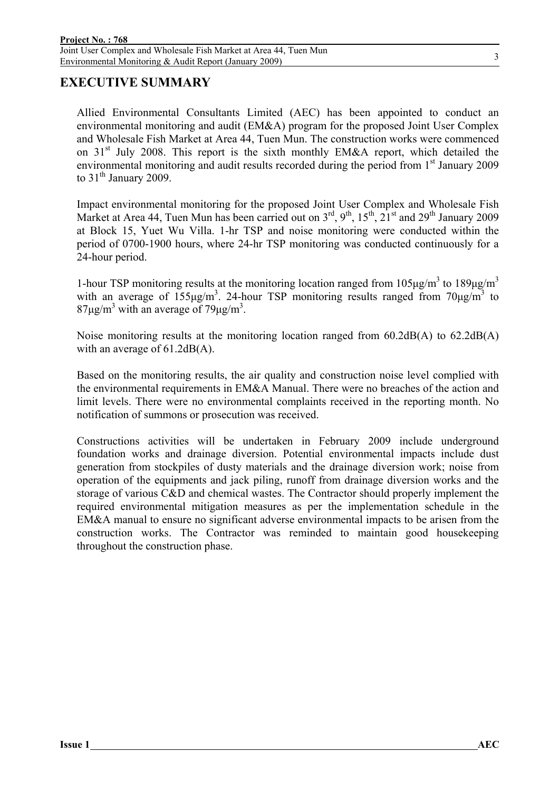#### **EXECUTIVE SUMMARY**

Allied Environmental Consultants Limited (AEC) has been appointed to conduct an environmental monitoring and audit (EM&A) program for the proposed Joint User Complex and Wholesale Fish Market at Area 44, Tuen Mun. The construction works were commenced on 31<sup>st</sup> July 2008. This report is the sixth monthly EM&A report, which detailed the environmental monitoring and audit results recorded during the period from 1<sup>st</sup> January 2009 to  $31<sup>th</sup>$  January 2009.

Impact environmental monitoring for the proposed Joint User Complex and Wholesale Fish Market at Area 44, Tuen Mun has been carried out on  $3<sup>rd</sup>$ ,  $9<sup>th</sup>$ ,  $15<sup>th</sup>$ ,  $21<sup>st</sup>$  and  $29<sup>th</sup>$  January 2009 at Block 15, Yuet Wu Villa. 1-hr TSP and noise monitoring were conducted within the period of 0700-1900 hours, where 24-hr TSP monitoring was conducted continuously for a 24-hour period.

1-hour TSP monitoring results at the monitoring location ranged from  $105 \mu g/m^3$  to  $189 \mu g/m^3$ with an average of  $155\mu g/m^3$ . 24-hour TSP monitoring results ranged from  $70\mu g/m^3$  to  $87 \mu g/m^3$  with an average of  $79 \mu g/m^3$ .

Noise monitoring results at the monitoring location ranged from 60.2dB(A) to 62.2dB(A) with an average of 61.2dB(A).

Based on the monitoring results, the air quality and construction noise level complied with the environmental requirements in EM&A Manual. There were no breaches of the action and limit levels. There were no environmental complaints received in the reporting month. No notification of summons or prosecution was received.

Constructions activities will be undertaken in February 2009 include underground foundation works and drainage diversion. Potential environmental impacts include dust generation from stockpiles of dusty materials and the drainage diversion work; noise from operation of the equipments and jack piling, runoff from drainage diversion works and the storage of various C&D and chemical wastes. The Contractor should properly implement the required environmental mitigation measures as per the implementation schedule in the EM&A manual to ensure no significant adverse environmental impacts to be arisen from the construction works. The Contractor was reminded to maintain good housekeeping throughout the construction phase.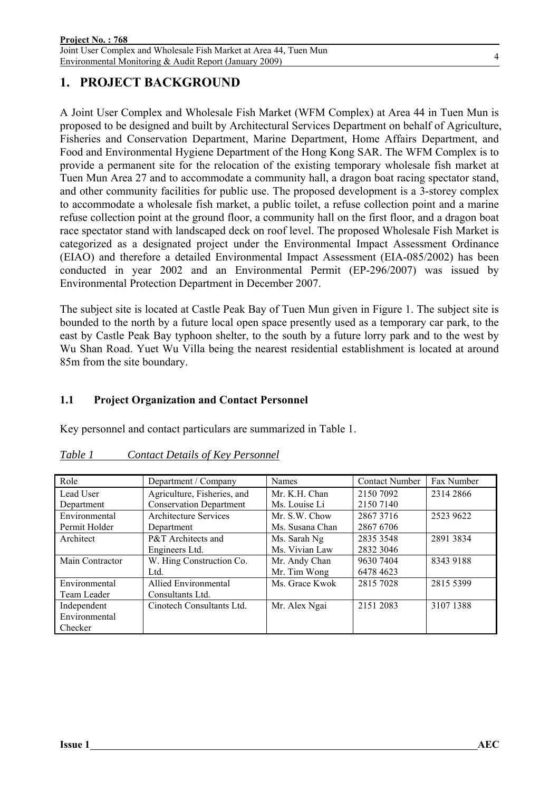### **1. PROJECT BACKGROUND**

A Joint User Complex and Wholesale Fish Market (WFM Complex) at Area 44 in Tuen Mun is proposed to be designed and built by Architectural Services Department on behalf of Agriculture, Fisheries and Conservation Department, Marine Department, Home Affairs Department, and Food and Environmental Hygiene Department of the Hong Kong SAR. The WFM Complex is to provide a permanent site for the relocation of the existing temporary wholesale fish market at Tuen Mun Area 27 and to accommodate a community hall, a dragon boat racing spectator stand, and other community facilities for public use. The proposed development is a 3-storey complex to accommodate a wholesale fish market, a public toilet, a refuse collection point and a marine refuse collection point at the ground floor, a community hall on the first floor, and a dragon boat race spectator stand with landscaped deck on roof level. The proposed Wholesale Fish Market is categorized as a designated project under the Environmental Impact Assessment Ordinance (EIAO) and therefore a detailed Environmental Impact Assessment (EIA-085/2002) has been conducted in year 2002 and an Environmental Permit (EP-296/2007) was issued by Environmental Protection Department in December 2007.

The subject site is located at Castle Peak Bay of Tuen Mun given in Figure 1. The subject site is bounded to the north by a future local open space presently used as a temporary car park, to the east by Castle Peak Bay typhoon shelter, to the south by a future lorry park and to the west by Wu Shan Road. Yuet Wu Villa being the nearest residential establishment is located at around 85m from the site boundary.

#### **1.1 Project Organization and Contact Personnel**

Key personnel and contact particulars are summarized in Table 1.

| Role            | Department / Company           | <b>Names</b>    | <b>Contact Number</b> | Fax Number |
|-----------------|--------------------------------|-----------------|-----------------------|------------|
| Lead User       | Agriculture, Fisheries, and    | Mr. K.H. Chan   | 2150 7092             | 2314 2866  |
| Department      | <b>Conservation Department</b> | Ms. Louise Li   | 2150 7140             |            |
| Environmental   | Architecture Services          | Mr. S.W. Chow   | 28673716              | 2523 9622  |
| Permit Holder   | Department                     | Ms. Susana Chan | 2867 6706             |            |
| Architect       | P&T Architects and             | Ms. Sarah Ng    | 2835 3548             | 2891 3834  |
|                 | Engineers Ltd.                 | Ms. Vivian Law  | 2832 3046             |            |
| Main Contractor | W. Hing Construction Co.       | Mr. Andy Chan   | 9630 7404             | 8343 9188  |
|                 | Ltd.                           | Mr. Tim Wong    | 6478 4623             |            |
| Environmental   | <b>Allied Environmental</b>    | Ms. Grace Kwok  | 2815 7028             | 2815 5399  |
| Team Leader     | Consultants Ltd.               |                 |                       |            |
| Independent     | Cinotech Consultants Ltd.      | Mr. Alex Ngai   | 2151 2083             | 3107 1388  |
| Environmental   |                                |                 |                       |            |
| Checker         |                                |                 |                       |            |

#### *Table 1 Contact Details of Key Personnel*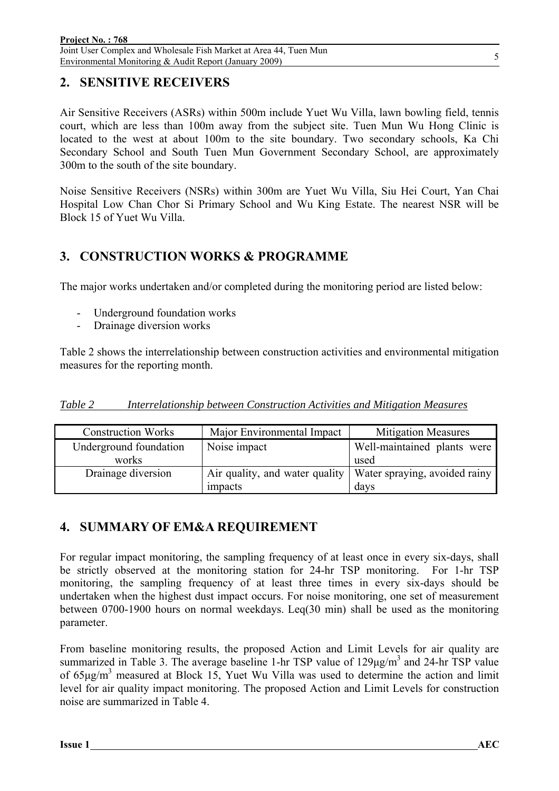### **2. SENSITIVE RECEIVERS**

Air Sensitive Receivers (ASRs) within 500m include Yuet Wu Villa, lawn bowling field, tennis court, which are less than 100m away from the subject site. Tuen Mun Wu Hong Clinic is located to the west at about 100m to the site boundary. Two secondary schools, Ka Chi Secondary School and South Tuen Mun Government Secondary School, are approximately 300m to the south of the site boundary.

Noise Sensitive Receivers (NSRs) within 300m are Yuet Wu Villa, Siu Hei Court, Yan Chai Hospital Low Chan Chor Si Primary School and Wu King Estate. The nearest NSR will be Block 15 of Yuet Wu Villa.

### **3. CONSTRUCTION WORKS & PROGRAMME**

The major works undertaken and/or completed during the monitoring period are listed below:

- Underground foundation works
- Drainage diversion works

Table 2 shows the interrelationship between construction activities and environmental mitigation measures for the reporting month.

|--|

| <b>Construction Works</b> | Major Environmental Impact     | <b>Mitigation Measures</b>    |
|---------------------------|--------------------------------|-------------------------------|
| Underground foundation    | Noise impact                   | Well-maintained plants were   |
| works                     |                                | used                          |
| Drainage diversion        | Air quality, and water quality | Water spraying, avoided rainy |
|                           | impacts                        | days                          |

### **4. SUMMARY OF EM&A REQUIREMENT**

For regular impact monitoring, the sampling frequency of at least once in every six-days, shall be strictly observed at the monitoring station for 24-hr TSP monitoring. For 1-hr TSP monitoring, the sampling frequency of at least three times in every six-days should be undertaken when the highest dust impact occurs. For noise monitoring, one set of measurement between 0700-1900 hours on normal weekdays. Leq(30 min) shall be used as the monitoring parameter.

From baseline monitoring results, the proposed Action and Limit Levels for air quality are summarized in Table 3. The average baseline 1-hr TSP value of  $129\mu g/m<sup>3</sup>$  and 24-hr TSP value of  $65\mu\text{g/m}^3$  measured at Block 15, Yuet Wu Villa was used to determine the action and limit level for air quality impact monitoring. The proposed Action and Limit Levels for construction noise are summarized in Table 4.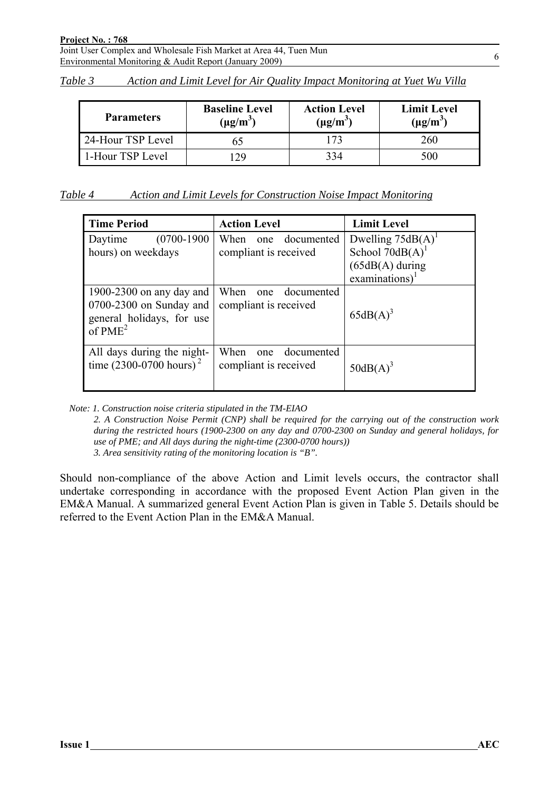| Table 3 |  |  |  | Action and Limit Level for Air Quality Impact Monitoring at Yuet Wu Villa |  |
|---------|--|--|--|---------------------------------------------------------------------------|--|
|         |  |  |  |                                                                           |  |

| <b>Parameters</b> | <b>Baseline Level</b><br>$(\mu g/m^3)$ | <b>Action Level</b><br>$(\mu g/m^3)$ | <b>Limit Level</b><br>$(\mu g/m^3)$ |
|-------------------|----------------------------------------|--------------------------------------|-------------------------------------|
| 24-Hour TSP Level |                                        |                                      | 260                                 |
| 1-Hour TSP Level  | 29                                     | 334                                  | 500                                 |

| Action and Limit Levels for Construction Noise Impact Monitoring |
|------------------------------------------------------------------|
|------------------------------------------------------------------|

| <b>Time Period</b>                                                                                        | <b>Action Level</b>                                | <b>Limit Level</b>                                                                                        |
|-----------------------------------------------------------------------------------------------------------|----------------------------------------------------|-----------------------------------------------------------------------------------------------------------|
| $(0700-1900)$<br>Daytime<br>hours) on weekdays                                                            | When one documented<br>compliant is received       | Dwelling $75dB(A)^T$<br>School $70dB(A)$ <sup>1</sup><br>$(65dB(A)$ during<br>$examinations$ <sup>1</sup> |
| 1900-2300 on any day and<br>$0700-2300$ on Sunday and<br>general holidays, for use<br>of PME <sup>2</sup> | When<br>one documented<br>compliant is received    | $65dB(A)^3$                                                                                               |
| All days during the night-<br>time $(2300-0700$ hours) <sup>2</sup>                                       | When<br>documented<br>one<br>compliant is received | $50dB(A)^3$                                                                                               |

*Note: 1. Construction noise criteria stipulated in the TM-EIAO* 

*2. A Construction Noise Permit (CNP) shall be required for the carrying out of the construction work during the restricted hours (1900-2300 on any day and 0700-2300 on Sunday and general holidays, for use of PME; and All days during the night-time (2300-0700 hours)) 3. Area sensitivity rating of the monitoring location is "B".* 

Should non-compliance of the above Action and Limit levels occurs, the contractor shall undertake corresponding in accordance with the proposed Event Action Plan given in the EM&A Manual. A summarized general Event Action Plan is given in Table 5. Details should be referred to the Event Action Plan in the EM&A Manual.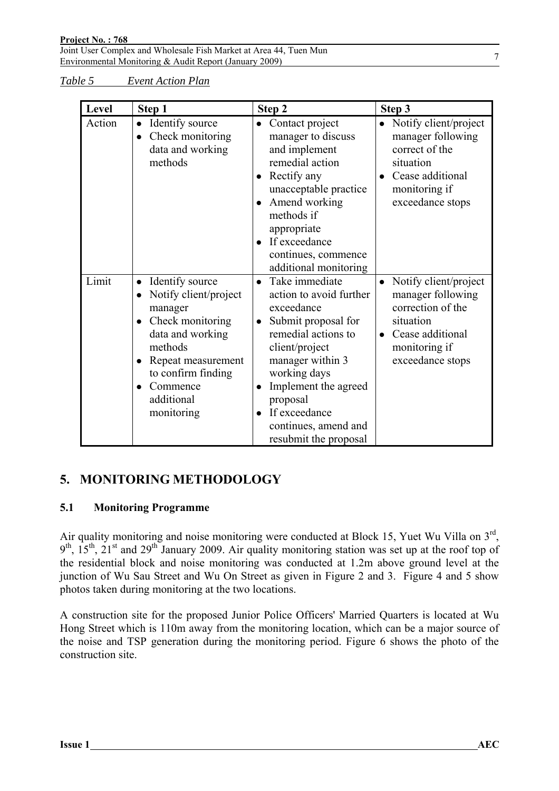*Table 5 Event Action Plan*

| Level  | Step 1                                                                                                                                                                                                  | Step 2                                                                                                                                                                                                                                                                                      | Step 3                                                                                                                                                          |
|--------|---------------------------------------------------------------------------------------------------------------------------------------------------------------------------------------------------------|---------------------------------------------------------------------------------------------------------------------------------------------------------------------------------------------------------------------------------------------------------------------------------------------|-----------------------------------------------------------------------------------------------------------------------------------------------------------------|
| Action | • Identify source<br>Check monitoring<br>data and working<br>methods                                                                                                                                    | • Contact project<br>manager to discuss<br>and implement<br>remedial action<br>Rectify any<br>$\bullet$<br>unacceptable practice<br>Amend working<br>methods if<br>appropriate<br>• If exceedance<br>continues, commence<br>additional monitoring                                           | • Notify client/project<br>manager following<br>correct of the<br>situation<br>Cease additional<br>$\bullet$<br>monitoring if<br>exceedance stops               |
| Limit  | Identify source<br>$\bullet$<br>Notify client/project<br>manager<br>Check monitoring<br>data and working<br>methods<br>Repeat measurement<br>to confirm finding<br>Commence<br>additional<br>monitoring | Take immediate<br>$\bullet$<br>action to avoid further<br>exceedance<br>Submit proposal for<br>$\bullet$<br>remedial actions to<br>client/project<br>manager within 3<br>working days<br>Implement the agreed<br>proposal<br>If exceedance<br>continues, amend and<br>resubmit the proposal | Notify client/project<br>$\bullet$<br>manager following<br>correction of the<br>situation<br>Cease additional<br>$\bullet$<br>monitoring if<br>exceedance stops |

### **5. MONITORING METHODOLOGY**

#### **5.1 Monitoring Programme**

Air quality monitoring and noise monitoring were conducted at Block 15, Yuet Wu Villa on 3<sup>rd</sup>,  $9<sup>th</sup>$ ,  $15<sup>th</sup>$ ,  $21<sup>st</sup>$  and  $29<sup>th</sup>$  January 2009. Air quality monitoring station was set up at the roof top of the residential block and noise monitoring was conducted at 1.2m above ground level at the junction of Wu Sau Street and Wu On Street as given in Figure 2 and 3. Figure 4 and 5 show photos taken during monitoring at the two locations.

A construction site for the proposed Junior Police Officers' Married Quarters is located at Wu Hong Street which is 110m away from the monitoring location, which can be a major source of the noise and TSP generation during the monitoring period. Figure 6 shows the photo of the construction site.

7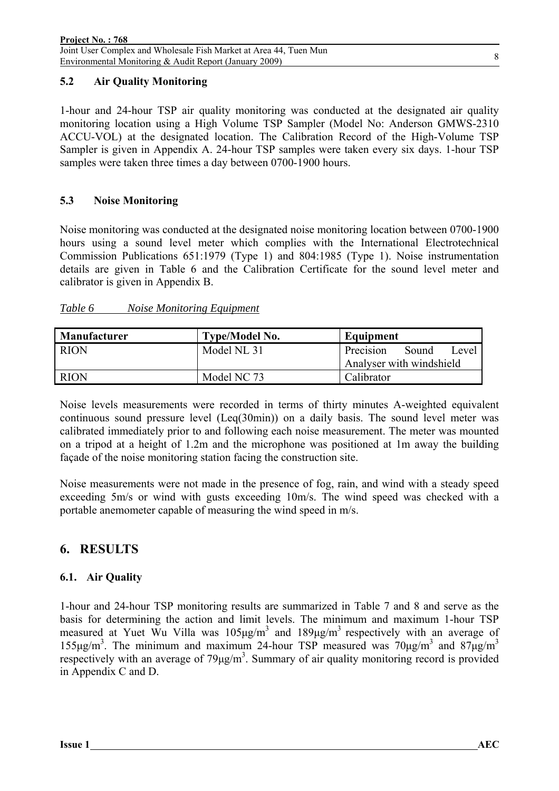#### **5.2 Air Quality Monitoring**

1-hour and 24-hour TSP air quality monitoring was conducted at the designated air quality monitoring location using a High Volume TSP Sampler (Model No: Anderson GMWS-2310 ACCU-VOL) at the designated location. The Calibration Record of the High-Volume TSP Sampler is given in Appendix A. 24-hour TSP samples were taken every six days. 1-hour TSP samples were taken three times a day between 0700-1900 hours.

#### **5.3 Noise Monitoring**

Noise monitoring was conducted at the designated noise monitoring location between 0700-1900 hours using a sound level meter which complies with the International Electrotechnical Commission Publications 651:1979 (Type 1) and 804:1985 (Type 1). Noise instrumentation details are given in Table 6 and the Calibration Certificate for the sound level meter and calibrator is given in Appendix B.

#### *Table 6 Noise Monitoring Equipment*

| <b>Manufacturer</b> | <b>Type/Model No.</b> | Equipment                   |
|---------------------|-----------------------|-----------------------------|
| <b>RION</b>         | Model NL 31           | Precision<br>Sound<br>Level |
|                     |                       | Analyser with windshield    |
| <b>RION</b>         | Model NC 73           | Calibrator                  |

Noise levels measurements were recorded in terms of thirty minutes A-weighted equivalent continuous sound pressure level (Leq(30min)) on a daily basis. The sound level meter was calibrated immediately prior to and following each noise measurement. The meter was mounted on a tripod at a height of 1.2m and the microphone was positioned at 1m away the building façade of the noise monitoring station facing the construction site.

Noise measurements were not made in the presence of fog, rain, and wind with a steady speed exceeding 5m/s or wind with gusts exceeding 10m/s. The wind speed was checked with a portable anemometer capable of measuring the wind speed in m/s.

### **6. RESULTS**

#### **6.1. Air Quality**

1-hour and 24-hour TSP monitoring results are summarized in Table 7 and 8 and serve as the basis for determining the action and limit levels. The minimum and maximum 1-hour TSP measured at Yuet Wu Villa was  $105 \mu g/m^3$  and  $189 \mu g/m^3$  respectively with an average of 155μg/m<sup>3</sup>. The minimum and maximum 24-hour TSP measured was  $70\mu g/m^3$  and  $87\mu g/m^3$ respectively with an average of  $79\mu g/m<sup>3</sup>$ . Summary of air quality monitoring record is provided in Appendix C and D.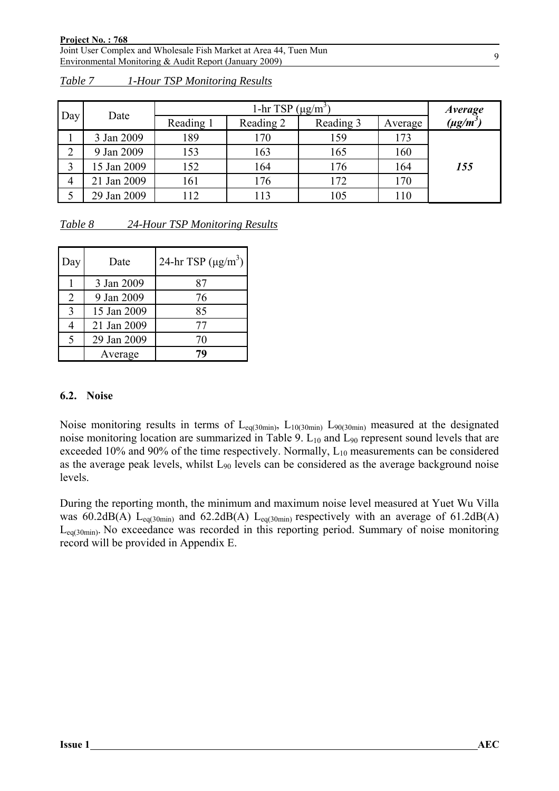|                | Date        | 1-hr TSP $(\mu g/m^3)$ |           |           |         |               |
|----------------|-------------|------------------------|-----------|-----------|---------|---------------|
| Day            |             | Reading 1              | Reading 2 | Reading 3 | Average | $(\mu g/m^3)$ |
|                | 3 Jan 2009  | 189                    | 170       | 159       | 173     |               |
| ↩              | 9 Jan 2009  | 153                    | 163       | 165       | 160     |               |
|                | 15 Jan 2009 | 152                    | 164       | 176       | 164     | 155           |
| $\overline{4}$ | 21 Jan 2009 | 161                    | 176       | 172       | 170     |               |
|                | 29 Jan 2009 | 112                    | 113       | 105       | 110     |               |

*Table 7 1-Hour TSP Monitoring Results*

| Table 8 | 24-Hour TSP Monitoring Results |  |
|---------|--------------------------------|--|
|         |                                |  |

| Day           | Date        | 24-hr TSP $(\mu g/m^3)$ |
|---------------|-------------|-------------------------|
|               | 3 Jan 2009  | 87                      |
| 2             | 9 Jan 2009  | 76                      |
| $\mathcal{R}$ | 15 Jan 2009 | 85                      |
|               | 21 Jan 2009 | 77                      |
| ς             | 29 Jan 2009 | 70                      |
|               | Average     | 79                      |

#### **6.2. Noise**

Noise monitoring results in terms of  $L_{eq(30min)}$ ,  $L_{10(30min)}$   $L_{90(30min)}$  measured at the designated noise monitoring location are summarized in Table 9.  $L_{10}$  and  $L_{90}$  represent sound levels that are exceeded 10% and 90% of the time respectively. Normally,  $L_{10}$  measurements can be considered as the average peak levels, whilst  $L_{90}$  levels can be considered as the average background noise levels.

During the reporting month, the minimum and maximum noise level measured at Yuet Wu Villa was 60.2dB(A) L<sub>eq(30min)</sub> and 62.2dB(A) L<sub>eq(30min)</sub> respectively with an average of 61.2dB(A) Leq(30min). No exceedance was recorded in this reporting period. Summary of noise monitoring record will be provided in Appendix E.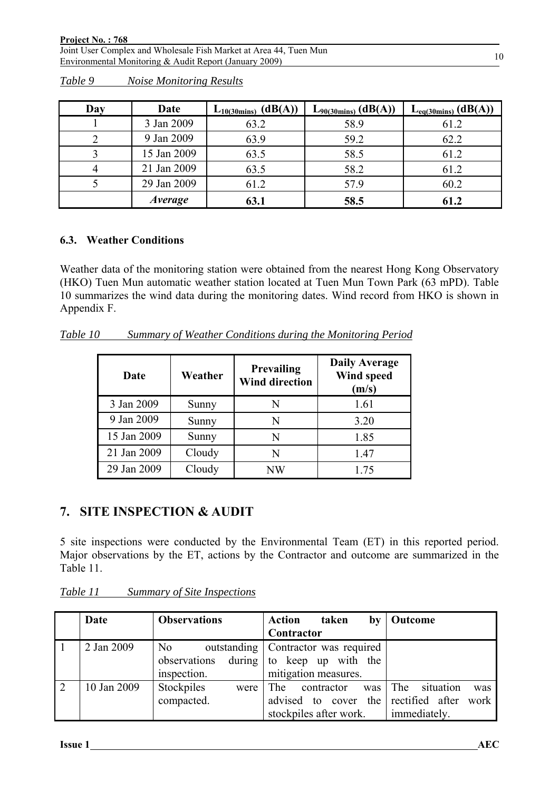| Day | Date           | $L_{10(30\text{mins})}$ (dB(A)) | $L_{90(30\text{mins})}$ (dB(A)) | $L_{eq(30 mins)}$ (dB(A)) |
|-----|----------------|---------------------------------|---------------------------------|---------------------------|
|     | 3 Jan 2009     | 63.2                            | 58.9                            | 61.2                      |
|     | 9 Jan 2009     | 63.9                            | 59.2                            | 62.2                      |
|     | 15 Jan 2009    | 63.5                            | 58.5                            | 61.2                      |
|     | 21 Jan 2009    | 63.5                            | 58.2                            | 61.2                      |
|     | 29 Jan 2009    | 61.2                            | 57.9                            | 60.2                      |
|     | <i>Average</i> | 63.1                            | 58.5                            | 61.2                      |

*Table 9 Noise Monitoring Results*

#### **6.3. Weather Conditions**

Weather data of the monitoring station were obtained from the nearest Hong Kong Observatory (HKO) Tuen Mun automatic weather station located at Tuen Mun Town Park (63 mPD). Table 10 summarizes the wind data during the monitoring dates. Wind record from HKO is shown in Appendix F.

*Table 10 Summary of Weather Conditions during the Monitoring Period*

| Date        | Weather | <b>Prevailing</b><br><b>Wind direction</b> | <b>Daily Average</b><br>Wind speed<br>(m/s) |
|-------------|---------|--------------------------------------------|---------------------------------------------|
| 3 Jan 2009  | Sunny   | N                                          | 1.61                                        |
| 9 Jan 2009  | Sunny   | N                                          | 3.20                                        |
| 15 Jan 2009 | Sunny   | N                                          | 1.85                                        |
| 21 Jan 2009 | Cloudy  | N                                          | 1.47                                        |
| 29 Jan 2009 | Cloudy  | NW                                         | 1 75                                        |

#### **7. SITE INSPECTION & AUDIT**

5 site inspections were conducted by the Environmental Team (ET) in this reported period. Major observations by the ET, actions by the Contractor and outcome are summarized in the Table 11.

|                | Date        | <b>Observations</b>  | <b>Action</b><br>taken<br>by            | Outcome                 |
|----------------|-------------|----------------------|-----------------------------------------|-------------------------|
|                |             |                      | Contractor                              |                         |
|                | 2 Jan 2009  | N <sub>0</sub>       | outstanding   Contractor was required   |                         |
|                |             | observations         | during to keep up with the              |                         |
|                |             | inspection.          | mitigation measures.                    |                         |
| $\overline{2}$ | 10 Jan 2009 | Stockpiles<br>were I | $\blacksquare$ The<br>contractor<br>was | The<br>situation<br>was |
|                |             | compacted.           | advised to cover the rectified after    | work                    |
|                |             |                      | stockpiles after work.                  | immediately.            |

*Table 11 Summary of Site Inspections*

10